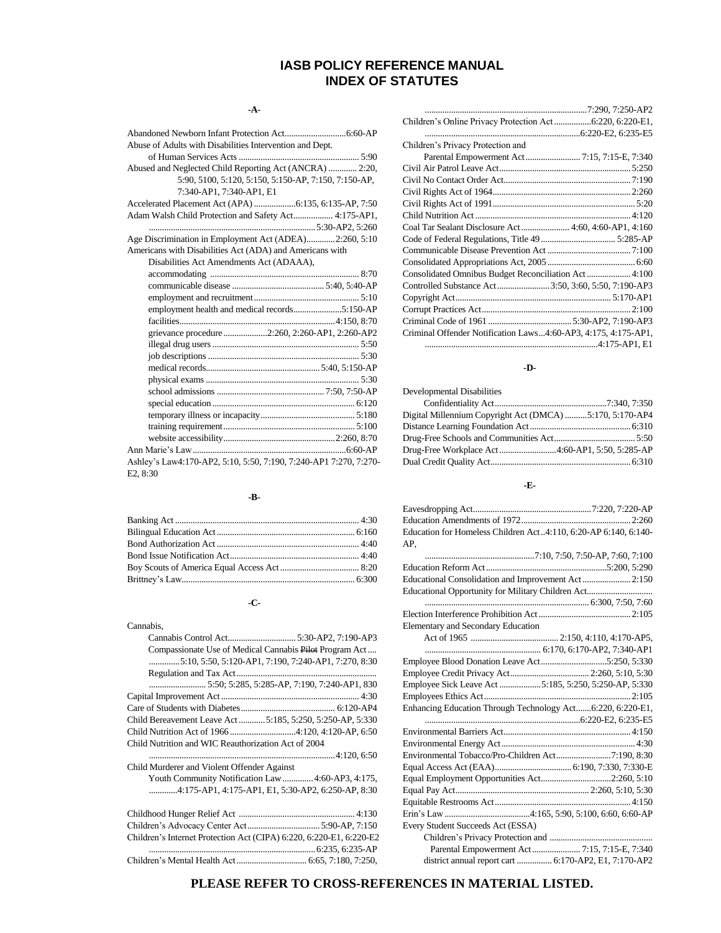## **IASB POLICY REFERENCE MANUAL INDEX OF STATUTES**

## **-A-**

| Abuse of Adults with Disabilities Intervention and Dept.          |
|-------------------------------------------------------------------|
|                                                                   |
| Abused and Neglected Child Reporting Act (ANCRA)  2:20,           |
| 5:90, 5100, 5:120, 5:150, 5:150-AP, 7:150, 7:150-AP,              |
| 7:340-AP1, 7:340-AP1, E1                                          |
|                                                                   |
| Adam Walsh Child Protection and Safety Act 4:175-AP1,             |
|                                                                   |
| Age Discrimination in Employment Act (ADEA)2:260, 5:10            |
| Americans with Disabilities Act (ADA) and Americans with          |
| Disabilities Act Amendments Act (ADAAA),                          |
|                                                                   |
|                                                                   |
|                                                                   |
| employment health and medical records5:150-AP                     |
|                                                                   |
| grievance procedure2:260, 2:260-AP1, 2:260-AP2                    |
|                                                                   |
|                                                                   |
|                                                                   |
|                                                                   |
|                                                                   |
|                                                                   |
|                                                                   |
|                                                                   |
|                                                                   |
|                                                                   |
| Ashley's Law4:170-AP2, 5:10, 5:50, 7:190, 7:240-AP1 7:270, 7:270- |
| E2, 8:30                                                          |

## **-B-**

## **-C-**

| Cannabis,                                                           |
|---------------------------------------------------------------------|
|                                                                     |
| Compassionate Use of Medical Cannabis Pilot Program Act             |
| 5:10, 5:50, 5:120-AP1, 7:190, 7:240-AP1, 7:270, 8:30                |
|                                                                     |
|                                                                     |
|                                                                     |
|                                                                     |
| Child Bereavement Leave Act  5:185, 5:250, 5:250-AP, 5:330          |
| Child Nutrition Act of 1966 4:120, 4:120-AP, 6:50                   |
| Child Nutrition and WIC Reauthorization Act of 2004                 |
|                                                                     |
| Child Murderer and Violent Offender Against                         |
| Youth Community Notification Law  4:60-AP3, 4:175,                  |
| 4:175-AP1, 4:175-AP1, E1, 5:30-AP2, 6:250-AP, 8:30                  |
|                                                                     |
| Children's Advocacy Center Act 5:90-AP, 7:150                       |
| Children's Internet Protection Act (CIPA) 6:220, 6:220-E1, 6:220-E2 |
|                                                                     |
|                                                                     |

#### **-D-**

| Developmental Disabilities                               |  |
|----------------------------------------------------------|--|
|                                                          |  |
| Digital Millennium Copyright Act (DMCA) 5:170, 5:170-AP4 |  |
|                                                          |  |
|                                                          |  |
|                                                          |  |
|                                                          |  |
|                                                          |  |

## **-E-**

| Education for Homeless Children Act4:110, 6:20-AP 6:140, 6:140- |
|-----------------------------------------------------------------|
| AP.                                                             |
|                                                                 |
|                                                                 |
| Educational Consolidation and Improvement Act2:150              |
| Educational Opportunity for Military Children Act               |
|                                                                 |
|                                                                 |
| Elementary and Secondary Education                              |
|                                                                 |
|                                                                 |
| Employee Blood Donation Leave Act5:250, 5:330                   |
|                                                                 |
| Employee Sick Leave Act 5:185, 5:250, 5:250-AP, 5:330           |
|                                                                 |
| Enhancing Education Through Technology Act6:220, 6:220-E1,      |
|                                                                 |
|                                                                 |
|                                                                 |
|                                                                 |
|                                                                 |
| Equal Employment Opportunities Act2:260, 5:10                   |
|                                                                 |
|                                                                 |
|                                                                 |
| Every Student Succeeds Act (ESSA)                               |
|                                                                 |
| Parental Empowerment Act 7:15, 7:15-E, 7:340                    |
| district annual report cart  6:170-AP2, E1, 7:170-AP2           |
|                                                                 |

## **PLEASE REFER TO CROSS-REFERENCES IN MATERIAL LISTED.**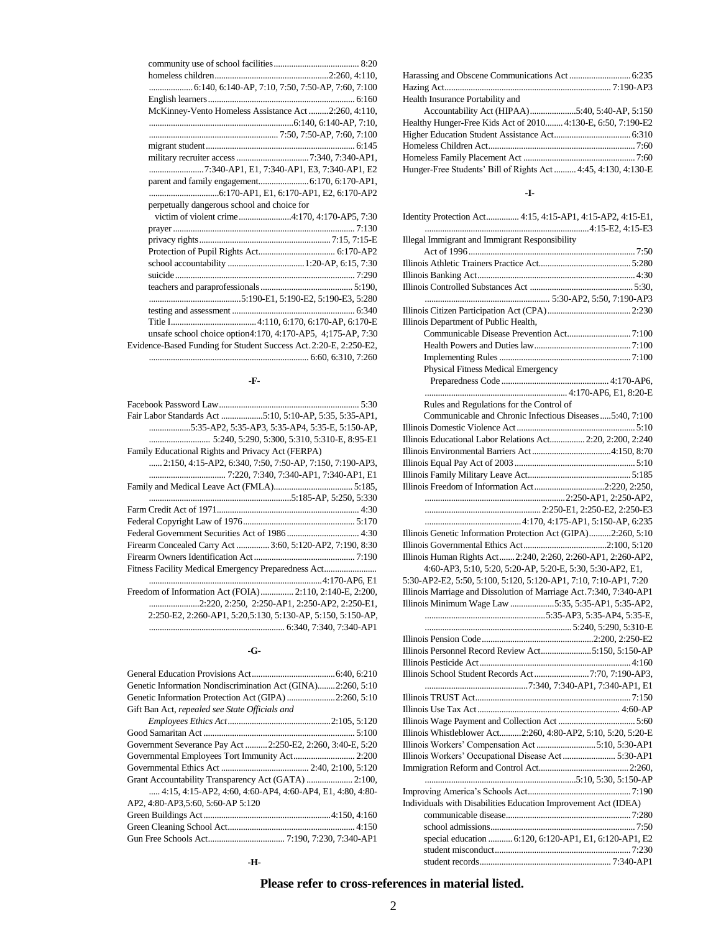| 6:140, 6:140-AP, 7:10, 7:50, 7:50-AP, 7:60, 7:100                 |  |
|-------------------------------------------------------------------|--|
|                                                                   |  |
| McKinney-Vento Homeless Assistance Act2:260, 4:110,               |  |
|                                                                   |  |
|                                                                   |  |
|                                                                   |  |
|                                                                   |  |
| 7:340-AP1, E1, 7:340-AP1, E3, 7:340-AP1, E2                       |  |
|                                                                   |  |
|                                                                   |  |
| perpetually dangerous school and choice for                       |  |
|                                                                   |  |
|                                                                   |  |
|                                                                   |  |
|                                                                   |  |
|                                                                   |  |
|                                                                   |  |
|                                                                   |  |
|                                                                   |  |
|                                                                   |  |
|                                                                   |  |
| unsafe school choice option4:170, 4:170-AP5, 4:175-AP, 7:30       |  |
| Evidence-Based Funding for Student Success Act. 2:20-E, 2:250-E2, |  |
|                                                                   |  |
|                                                                   |  |

## **-F-**

| Fair Labor Standards Act 5:10, 5:10-AP, 5:35, 5:35-AP1,     |  |
|-------------------------------------------------------------|--|
| 5:35-AP2, 5:35-AP3, 5:35-AP4, 5:35-E, 5:150-AP,             |  |
|                                                             |  |
| Family Educational Rights and Privacy Act (FERPA)           |  |
| 2:150, 4:15-AP2, 6:340, 7:50, 7:50-AP, 7:150, 7:190-AP3,    |  |
|                                                             |  |
|                                                             |  |
|                                                             |  |
|                                                             |  |
|                                                             |  |
|                                                             |  |
| Firearm Concealed Carry Act  3:60, 5:120-AP2, 7:190, 8:30   |  |
|                                                             |  |
|                                                             |  |
|                                                             |  |
| Freedom of Information Act (FOIA) 2:110, 2:140-E, 2:200,    |  |
| 2:220, 2:250, 2:250-AP1, 2:250-AP2, 2:250-E1,               |  |
| 2:250-E2, 2:260-AP1, 5:20,5:130, 5:130-AP, 5:150, 5:150-AP, |  |
|                                                             |  |

#### **-G-**

| Genetic Information Nondiscrimination Act (GINA)2:260, 5:10 |
|-------------------------------------------------------------|
| Genetic Information Protection Act (GIPA) 2:260, 5:10       |
| Gift Ban Act, repealed see State Officials and              |
|                                                             |
|                                                             |
| Government Severance Pay Act  2:250-E2, 2:260, 3:40-E, 5:20 |
|                                                             |
|                                                             |
|                                                             |
| 4:15, 4:15-AP2, 4:60, 4:60-AP4, 4:60-AP4, E1, 4:80, 4:80-   |
| AP2, 4:80-AP3,5:60, 5:60-AP 5:120                           |
|                                                             |
|                                                             |
|                                                             |

**-H-**

| Health Insurance Portability and                              |
|---------------------------------------------------------------|
|                                                               |
| Healthy Hunger-Free Kids Act of 2010 4:130-E, 6:50, 7:190-E2  |
|                                                               |
|                                                               |
|                                                               |
| Hunger-Free Students' Bill of Rights Act 4:45, 4:130, 4:130-E |

### **-I-**

| Identity Protection Act 4:15, 4:15-AP1, 4:15-AP2, 4:15-E1,         |
|--------------------------------------------------------------------|
|                                                                    |
| <b>Illegal Immigrant and Immigrant Responsibility</b>              |
|                                                                    |
|                                                                    |
|                                                                    |
|                                                                    |
|                                                                    |
|                                                                    |
| Illinois Department of Public Health,                              |
|                                                                    |
|                                                                    |
|                                                                    |
| Physical Fitness Medical Emergency                                 |
|                                                                    |
|                                                                    |
| Rules and Regulations for the Control of                           |
| Communicable and Chronic Infectious Diseases5:40, 7:100            |
|                                                                    |
| Illinois Educational Labor Relations Act 2:20, 2:200, 2:240        |
|                                                                    |
|                                                                    |
|                                                                    |
| Illinois Freedom of Information Act2:220, 2:250,                   |
|                                                                    |
|                                                                    |
|                                                                    |
|                                                                    |
| Illinois Genetic Information Protection Act (GIPA)2:260, 5:10      |
|                                                                    |
| Illinois Human Rights Act2:240, 2:260, 2:260-AP1, 2:260-AP2,       |
| 4:60-AP3, 5:10, 5:20, 5:20-AP, 5:20-E, 5:30, 5:30-AP2, E1,         |
| 5:30-AP2-E2, 5:50, 5:100, 5:120, 5:120-AP1, 7:10, 7:10-AP1, 7:20   |
| Illinois Marriage and Dissolution of Marriage Act.7:340, 7:340-AP1 |
| Illinois Minimum Wage Law 5:35, 5:35-AP1, 5:35-AP2,                |
|                                                                    |
|                                                                    |
|                                                                    |
| Illinois Personnel Record Review Act5:150, 5:150-AP                |
|                                                                    |
| Illinois School Student Records Act7:70, 7:190-AP3,                |
|                                                                    |
|                                                                    |
|                                                                    |
|                                                                    |
| Illinois Whistleblower Act2:260, 4:80-AP2, 5:10, 5:20, 5:20-E      |
| Illinois Workers' Compensation Act 5:10, 5:30-AP1                  |
| Illinois Workers' Occupational Disease Act  5:30-AP1               |
|                                                                    |
|                                                                    |
|                                                                    |
| Individuals with Disabilities Education Improvement Act (IDEA)     |
|                                                                    |
|                                                                    |
| special education  6:120, 6:120-AP1, E1, 6:120-AP1, E2             |
|                                                                    |
|                                                                    |
|                                                                    |

# **Please refer to cross-references in material listed.**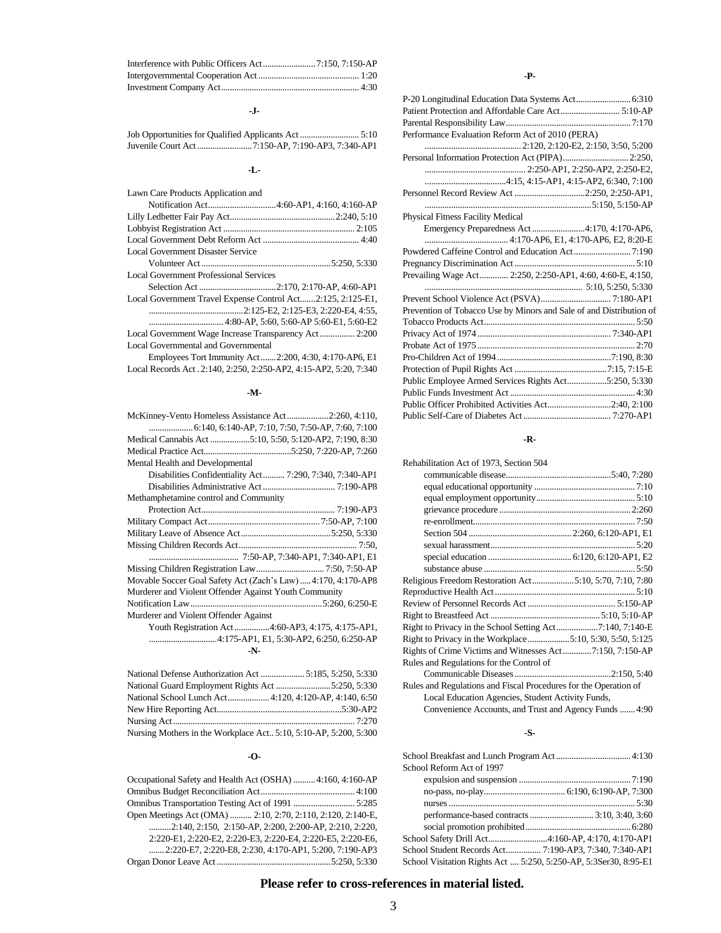## **-J-**

Job Opportunities for Qualified Applicants Act ........................... 5:10 Juvenile Court Act.........................7:150-AP, 7:190-AP3, 7:340-AP1

## **-L-**

| Lawn Care Products Application and                          |
|-------------------------------------------------------------|
|                                                             |
|                                                             |
|                                                             |
|                                                             |
| Local Government Disaster Service                           |
|                                                             |
| Local Government Professional Services                      |
|                                                             |
| Local Government Travel Expense Control Act2:125, 2:125-E1, |
|                                                             |
|                                                             |
| Local Government Wage Increase Transparency Act 2:200       |
| Local Governmental and Governmental                         |
| Employees Tort Immunity Act2:200, 4:30, 4:170-AP6, E1       |

Local Records Act . 2:140, 2:250, 2:250-AP2, 4:15-AP2, 5:20, 7:340

#### **-M-**

| McKinney-Vento Homeless Assistance Act2:260, 4:110,         |  |  |
|-------------------------------------------------------------|--|--|
|                                                             |  |  |
|                                                             |  |  |
|                                                             |  |  |
| Mental Health and Developmental                             |  |  |
| Disabilities Confidentiality Act 7:290, 7:340, 7:340-AP1    |  |  |
|                                                             |  |  |
| Methamphetamine control and Community                       |  |  |
|                                                             |  |  |
|                                                             |  |  |
|                                                             |  |  |
|                                                             |  |  |
|                                                             |  |  |
|                                                             |  |  |
| Movable Soccer Goal Safety Act (Zach's Law)4:170, 4:170-AP8 |  |  |
| Murderer and Violent Offender Against Youth Community       |  |  |
|                                                             |  |  |
| Murderer and Violent Offender Against                       |  |  |
| Youth Registration Act 4:60-AP3, 4:175, 4:175-AP1,          |  |  |
|                                                             |  |  |
| -N-                                                         |  |  |
|                                                             |  |  |

| National School Lunch Act 4:120, 4:120-AP, 4:140, 6:50             |  |
|--------------------------------------------------------------------|--|
|                                                                    |  |
|                                                                    |  |
| Nursing Mothers in the Workplace Act., 5:10, 5:10-AP, 5:200, 5:300 |  |

#### **-O-**

| Occupational Safety and Health Act (OSHA) 4:160, 4:160-AP       |  |
|-----------------------------------------------------------------|--|
|                                                                 |  |
|                                                                 |  |
| Open Meetings Act (OMA)  2:10, 2:70, 2:110, 2:120, 2:140-E,     |  |
| $\ldots$ 2:140, 2:150, 2:150-AP, 2:200, 2:200-AP, 2:210, 2:220, |  |
| 2:220-E1, 2:220-E2, 2:220-E3, 2:220-E4, 2:220-E5, 2:220-E6,     |  |
| 2:220-E7, 2:220-E8, 2:230, 4:170-AP1, 5:200, 7:190-AP3          |  |
|                                                                 |  |

## **-P-**

| Performance Evaluation Reform Act of 2010 (PERA)                    |
|---------------------------------------------------------------------|
|                                                                     |
|                                                                     |
|                                                                     |
|                                                                     |
| Personnel Record Review Act 2:250, 2:250-AP1,                       |
|                                                                     |
| Physical Fitness Facility Medical                                   |
| Emergency Preparedness Act 4:170, 4:170-AP6,                        |
|                                                                     |
|                                                                     |
|                                                                     |
| Prevailing Wage Act  2:250, 2:250-AP1, 4:60, 4:60-E, 4:150,         |
|                                                                     |
|                                                                     |
| Prevention of Tobacco Use by Minors and Sale of and Distribution of |
|                                                                     |
|                                                                     |
|                                                                     |
|                                                                     |
|                                                                     |
| Public Employee Armed Services Rights Act5:250, 5:330               |
|                                                                     |
| Public Officer Prohibited Activities Act2:40, 2:100                 |
|                                                                     |

#### **-R-**

| Rehabilitation Act of 1973, Section 504                          |  |
|------------------------------------------------------------------|--|
|                                                                  |  |
|                                                                  |  |
|                                                                  |  |
|                                                                  |  |
|                                                                  |  |
|                                                                  |  |
|                                                                  |  |
|                                                                  |  |
|                                                                  |  |
| Religious Freedom Restoration Act5:10, 5:70, 7:10, 7:80          |  |
|                                                                  |  |
|                                                                  |  |
|                                                                  |  |
| Right to Privacy in the School Setting Act7:140, 7:140-E         |  |
| Right to Privacy in the Workplace5:10, 5:30, 5:50, 5:125         |  |
|                                                                  |  |
| Rules and Regulations for the Control of                         |  |
|                                                                  |  |
| Rules and Regulations and Fiscal Procedures for the Operation of |  |
| Local Education Agencies, Student Activity Funds,                |  |
| Convenience Accounts, and Trust and Agency Funds  4:90           |  |
|                                                                  |  |

## **-S-**

| School Reform Act of 1997                                        |  |
|------------------------------------------------------------------|--|
|                                                                  |  |
|                                                                  |  |
|                                                                  |  |
|                                                                  |  |
|                                                                  |  |
| School Safety Drill Act4:160-AP, 4:170, 4:170-AP1                |  |
|                                                                  |  |
| School Visitation Rights Act  5:250, 5:250-AP, 5:3Ser30, 8:95-E1 |  |

## **Please refer to cross-references in material listed.**